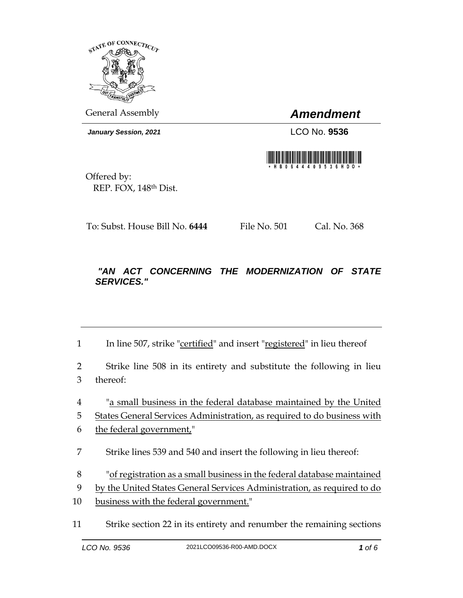

General Assembly *Amendment*

*January Session, 2021* LCO No. **9536**



Offered by: REP. FOX, 148th Dist.

To: Subst. House Bill No. **6444** File No. 501 Cal. No. 368

## *"AN ACT CONCERNING THE MODERNIZATION OF STATE SERVICES."*

1 In line 507, strike "certified" and insert "registered" in lieu thereof

2 Strike line 508 in its entirety and substitute the following in lieu 3 thereof:

4 "a small business in the federal database maintained by the United

5 States General Services Administration, as required to do business with

- 6 the federal government,"
- 7 Strike lines 539 and 540 and insert the following in lieu thereof:
- 8 "of registration as a small business in the federal database maintained
- 9 by the United States General Services Administration, as required to do
- 10 business with the federal government."
- 11 Strike section 22 in its entirety and renumber the remaining sections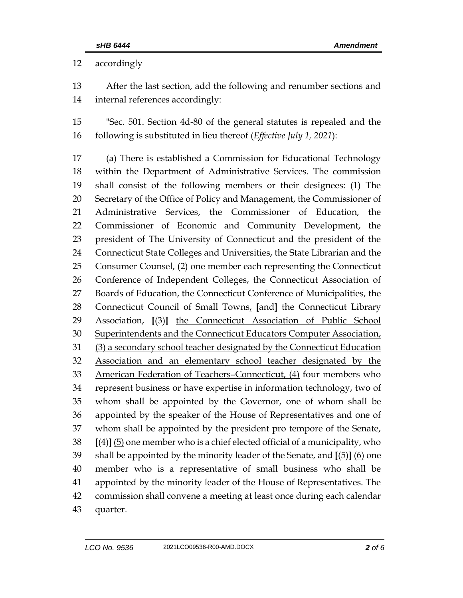accordingly

 After the last section, add the following and renumber sections and internal references accordingly:

 "Sec. 501. Section 4d-80 of the general statutes is repealed and the following is substituted in lieu thereof (*Effective July 1, 2021*):

 (a) There is established a Commission for Educational Technology within the Department of Administrative Services. The commission shall consist of the following members or their designees: (1) The Secretary of the Office of Policy and Management, the Commissioner of Administrative Services, the Commissioner of Education, the Commissioner of Economic and Community Development, the president of The University of Connecticut and the president of the Connecticut State Colleges and Universities, the State Librarian and the Consumer Counsel, (2) one member each representing the Connecticut Conference of Independent Colleges, the Connecticut Association of Boards of Education, the Connecticut Conference of Municipalities, the Connecticut Council of Small Towns, **[**and**]** the Connecticut Library Association, **[**(3)**]** the Connecticut Association of Public School 30 Superintendents and the Connecticut Educators Computer Association, (3) a secondary school teacher designated by the Connecticut Education Association and an elementary school teacher designated by the American Federation of Teachers–Connecticut, (4) four members who represent business or have expertise in information technology, two of whom shall be appointed by the Governor, one of whom shall be appointed by the speaker of the House of Representatives and one of whom shall be appointed by the president pro tempore of the Senate, **[**(4)**]** (5) one member who is a chief elected official of a municipality, who shall be appointed by the minority leader of the Senate, and **[**(5)**]** (6) one member who is a representative of small business who shall be appointed by the minority leader of the House of Representatives. The commission shall convene a meeting at least once during each calendar quarter.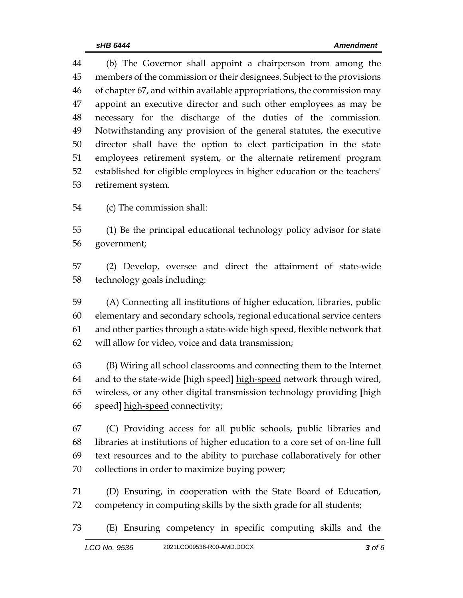(b) The Governor shall appoint a chairperson from among the members of the commission or their designees. Subject to the provisions of chapter 67, and within available appropriations, the commission may appoint an executive director and such other employees as may be necessary for the discharge of the duties of the commission. Notwithstanding any provision of the general statutes, the executive director shall have the option to elect participation in the state employees retirement system, or the alternate retirement program established for eligible employees in higher education or the teachers' retirement system.

(c) The commission shall:

 (1) Be the principal educational technology policy advisor for state government;

 (2) Develop, oversee and direct the attainment of state-wide technology goals including:

 (A) Connecting all institutions of higher education, libraries, public elementary and secondary schools, regional educational service centers and other parties through a state-wide high speed, flexible network that will allow for video, voice and data transmission;

 (B) Wiring all school classrooms and connecting them to the Internet and to the state-wide **[**high speed**]** high-speed network through wired, wireless, or any other digital transmission technology providing **[**high speed**]** high-speed connectivity;

 (C) Providing access for all public schools, public libraries and libraries at institutions of higher education to a core set of on-line full text resources and to the ability to purchase collaboratively for other collections in order to maximize buying power;

 (D) Ensuring, in cooperation with the State Board of Education, competency in computing skills by the sixth grade for all students;

(E) Ensuring competency in specific computing skills and the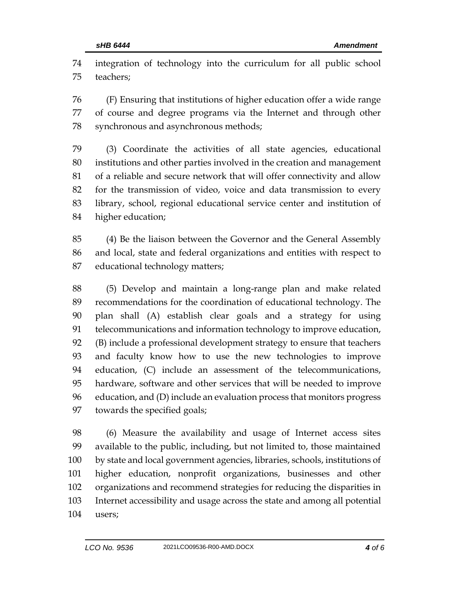integration of technology into the curriculum for all public school teachers;

 (F) Ensuring that institutions of higher education offer a wide range of course and degree programs via the Internet and through other synchronous and asynchronous methods;

 (3) Coordinate the activities of all state agencies, educational institutions and other parties involved in the creation and management of a reliable and secure network that will offer connectivity and allow for the transmission of video, voice and data transmission to every library, school, regional educational service center and institution of higher education;

 (4) Be the liaison between the Governor and the General Assembly and local, state and federal organizations and entities with respect to educational technology matters;

 (5) Develop and maintain a long-range plan and make related recommendations for the coordination of educational technology. The plan shall (A) establish clear goals and a strategy for using telecommunications and information technology to improve education, (B) include a professional development strategy to ensure that teachers and faculty know how to use the new technologies to improve education, (C) include an assessment of the telecommunications, hardware, software and other services that will be needed to improve education, and (D) include an evaluation process that monitors progress towards the specified goals;

 (6) Measure the availability and usage of Internet access sites available to the public, including, but not limited to, those maintained by state and local government agencies, libraries, schools, institutions of higher education, nonprofit organizations, businesses and other organizations and recommend strategies for reducing the disparities in Internet accessibility and usage across the state and among all potential users;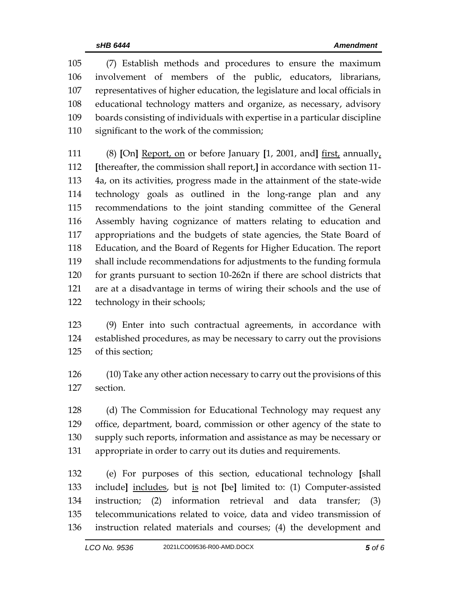(7) Establish methods and procedures to ensure the maximum involvement of members of the public, educators, librarians, representatives of higher education, the legislature and local officials in educational technology matters and organize, as necessary, advisory boards consisting of individuals with expertise in a particular discipline significant to the work of the commission;

 (8) **[**On**]** Report, on or before January **[**1, 2001, and**]** first, annually, **[**thereafter, the commission shall report,**]** in accordance with section 11- 4a, on its activities, progress made in the attainment of the state-wide technology goals as outlined in the long-range plan and any recommendations to the joint standing committee of the General Assembly having cognizance of matters relating to education and appropriations and the budgets of state agencies, the State Board of Education, and the Board of Regents for Higher Education. The report shall include recommendations for adjustments to the funding formula for grants pursuant to section 10-262n if there are school districts that are at a disadvantage in terms of wiring their schools and the use of technology in their schools;

 (9) Enter into such contractual agreements, in accordance with established procedures, as may be necessary to carry out the provisions of this section;

 (10) Take any other action necessary to carry out the provisions of this section.

 (d) The Commission for Educational Technology may request any office, department, board, commission or other agency of the state to supply such reports, information and assistance as may be necessary or appropriate in order to carry out its duties and requirements.

 (e) For purposes of this section, educational technology **[**shall include**]** includes, but is not **[**be**]** limited to: (1) Computer-assisted instruction; (2) information retrieval and data transfer; (3) telecommunications related to voice, data and video transmission of instruction related materials and courses; (4) the development and